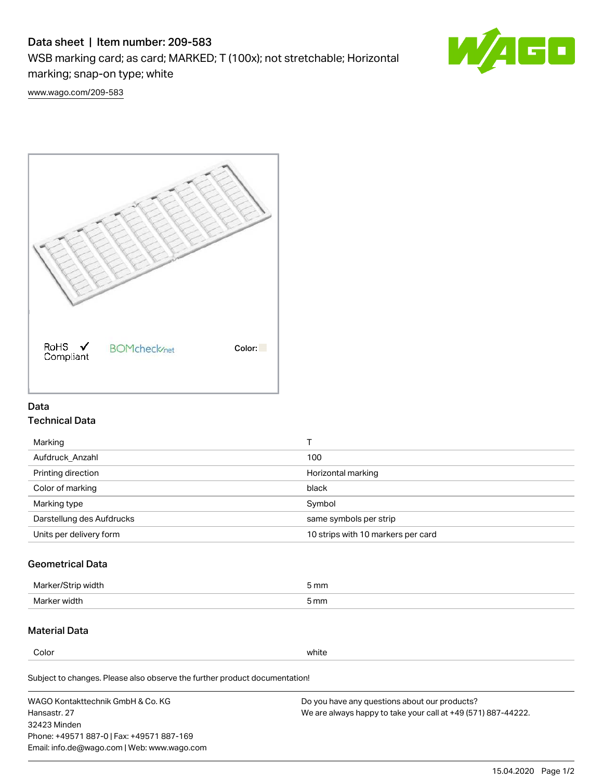# Data sheet | Item number: 209-583

WSB marking card; as card; MARKED; T (100x); not stretchable; Horizontal

marking; snap-on type; white



[www.wago.com/209-583](http://www.wago.com/209-583)



### Data Technical Data

| Marking                   |                                    |
|---------------------------|------------------------------------|
| Aufdruck Anzahl           | 100                                |
| Printing direction        | Horizontal marking                 |
| Color of marking          | black                              |
| Marking type              | Symbol                             |
| Darstellung des Aufdrucks | same symbols per strip             |
| Units per delivery form   | 10 strips with 10 markers per card |

## Geometrical Data

| width        | i mm |
|--------------|------|
| Marker/      | -    |
| Marker width | 5 mm |

## Material Data

Color white

Subject to changes. Please also observe the further product documentation!

WAGO Kontakttechnik GmbH & Co. KG Hansastr. 27 32423 Minden Phone: +49571 887-0 | Fax: +49571 887-169 Email: info.de@wago.com | Web: www.wago.com Do you have any questions about our products? We are always happy to take your call at +49 (571) 887-44222.